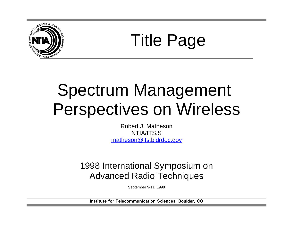

Title Page

## Spectrum Management Perspectives on Wireless

Robert J. Matheson NTIA/ITS.S matheson@its.bldrdoc.gov

1998 International Symposium on Advanced Radio Techniques

September 9-11, 1998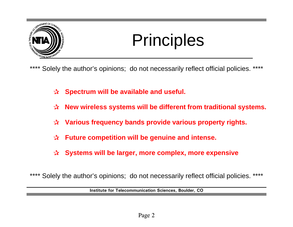

# **Principles**

\*\*\*\* Solely the author's opinions; do not necessarily reflect official policies. \*\*\*\*

- $\alpha$  Spectrum will be available and useful.
- $\alpha$  **New wireless systems will be different from traditional systems.**
- $\alpha$  Various frequency bands provide various property rights.
- q **Future competition will be genuine and intense.**
- $\alpha$  Systems will be larger, more complex, more expensive

\*\*\*\* Solely the author's opinions; do not necessarily reflect official policies. \*\*\*\*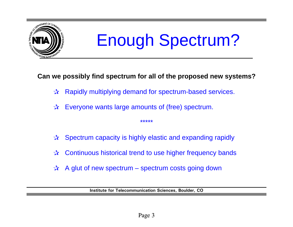

# Enough Spectrum?

### **Can we possibly find spectrum for all of the proposed new systems?**

- $\mathbf{\hat{x}}$  Rapidly multiplying demand for spectrum-based services.
- $\mathbf{\hat{x}}$  Everyone wants large amounts of (free) spectrum.
- $\hat{x}$  Spectrum capacity is highly elastic and expanding rapidly

\*\*\*\*\*

- $\lambda$  Continuous historical trend to use higher frequency bands
- $\lambda$  A glut of new spectrum spectrum costs going down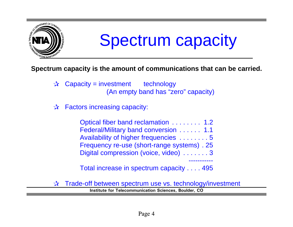

### Spectrum capacity

### **Spectrum capacity is the amount of communications that can be carried.**

- $\mathbf{\hat{x}}$  Capacity = investment technology (An empty band has "zero" capacity)
- $\mathbf{\hat{x}}$  Factors increasing capacity:

Optical fiber band reclamation ........ 1.2 Federal/Military band conversion ...... 1.1 Availability of higher frequencies ........ 5 Frequency re-use (short-range systems) . 25 Digital compression (voice, video) ....... 3 -----------

Total increase in spectrum capacity .... 495

 $\vec{x}$  Trade-off between spectrum use vs. technology/investment **Institute for Telecommunication Sciences, Boulder, CO**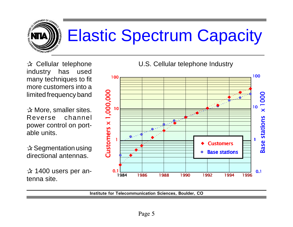

# Elastic Spectrum Capacity

 $\mathbf{\hat{x}}$  Cellular telephone industry has used many techniques to fit more customers into a limited frequency band

 $\mathbf{\hat{x}}$  More, smaller sites. Reverse channel power control on portable units.

 $\mathbf{\hat{x}}$  Segmentation using directional antennas.

 $x$  1400 users per antenna site.

U.S. Cellular telephone Industry

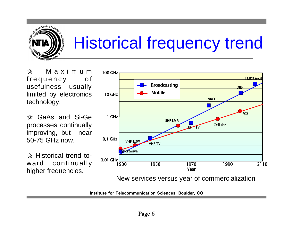

 $\mathbf{x}$  Maximum frequency of usefulness usually limited by electronics technology.

 $\mathbf{\hat{x}}$  GaAs and Si-Ge processes continually improving, but near 50-75 GHz now.

 $\mathbf{\hat{x}}$  Historical trend toward continually higher frequencies.



New services versus year of commercialization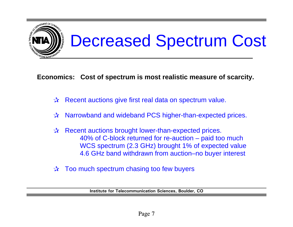

**Economics: Cost of spectrum is most realistic measure of scarcity.** 

- $\mathbf{\hat{x}}$  Recent auctions give first real data on spectrum value.
- $\lambda$  Narrowband and wideband PCS higher-than-expected prices.
- $\mathbf{\hat{x}}$  Recent auctions brought lower-than-expected prices. 40% of C-block returned for re-auction – paid too much WCS spectrum (2.3 GHz) brought 1% of expected value 4.6 GHz band withdrawn from auction–no buyer interest
- $\vec{r}$  Too much spectrum chasing too few buyers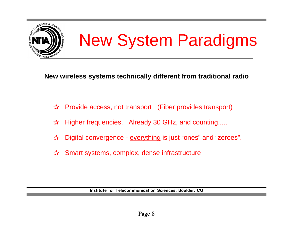

# New System Paradigms

**New wireless systems technically different from traditional radio**

- $\vec{x}$  Provide access, not transport (Fiber provides transport)
- $\mathcal{R}$  Higher frequencies. Already 30 GHz, and counting.....
- $\vec{r}$  Digital convergence <u>everything</u> is just "ones" and "zeroes".
- $x$  Smart systems, complex, dense infrastructure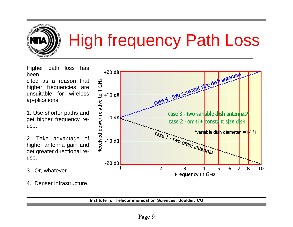

 $+20$  dB

 $+10$  dB

 $0<sub>d</sub>$ 

 $-10dB$ 

**GH2** 

Higher path loss has been

cited as a reason that higher frequencies are unsuitable for wireless ap-plications.

1. Use shorter paths and get higher frequency reuse.

2. Take advantage of higher antenna gain and get greater directional reuse.

- 3. Or, whatever.
- 4. Denser infrastructure.



age 4 - two constant size dish antenna

case 3 - two variable dish antennas\*

case 2 - omni + constant size dish

\*variable dish diameter  $\approx 1/ \sqrt{F}$ 

 $10$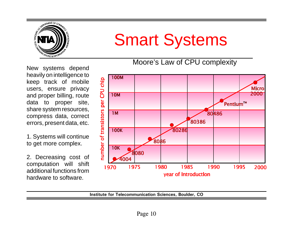

### Smart Systems

Moore's Law of CPU complexity

New systems depend heavily on intelligence to keep track of mobile users, ensure privacy and proper billing, route data to proper site, share system resources, compress data, correct errors, present data, etc.

1. Systems will continue to get more complex.

2. Decreasing cost of computation will shift additional functions from hardware to software.

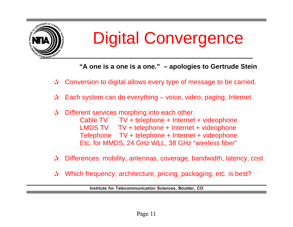![](_page_10_Picture_0.jpeg)

## Digital Convergence

**"A one is a one is a one." – apologies to Gertrude Stein**

 $\vec{x}$  Conversion to digital allows every type of message to be carried.

- $x$  Each system can do everything voice, video, paging, Internet
- $\vec{x}$  Different services morphing into each other. Cable TV TV + telephone + Internet + videophone LMDS TV TV + telephone + Internet + videophone Telephone TV + telephone + Internet + videophone Etc. for MMDS, 24 GHz WLL, 38 GHz "wireless fiber"
- $\vec{x}$  Differences: mobility, antennas, coverage, bandwidth, latency, cost
- $\mathbf{\hat{x}}$  Which frequency, architecture, pricing, packaging, etc. is best?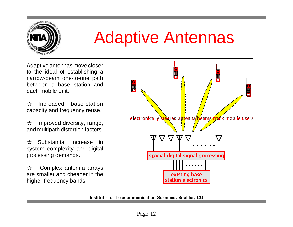![](_page_11_Picture_0.jpeg)

### Adaptive Antennas

Adaptive antennas move closer to the ideal of establishing a narrow-beam one-to-one path between a base station and each mobile unit.

 $x$  Increased base-station capacity and frequency reuse.

 $\mathbf{\hat{x}}$  Improved diversity, range, and multipath distortion factors.

 $\mathbf{\hat{x}}$  Substantial increase in system complexity and digital processing demands.

 $\mathbf{\hat{x}}$  Complex antenna arrays are smaller and cheaper in the higher frequency bands.

![](_page_11_Figure_7.jpeg)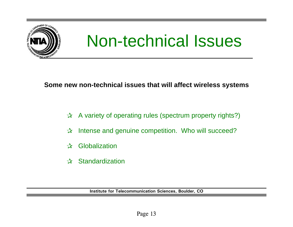![](_page_12_Picture_0.jpeg)

## Non-technical Issues

#### **Some new non-technical issues that will affect wireless systems**

- $\vec{r}$  A variety of operating rules (spectrum property rights?)
- $x$  Intense and genuine competition. Who will succeed?
- $x$  Globalization
- $x$  Standardization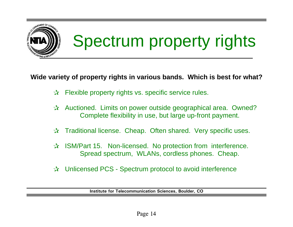![](_page_13_Picture_0.jpeg)

#### **Wide variety of property rights in various bands. Which is best for what?**

- $\mathbf{\hat{x}}$  Flexible property rights vs. specific service rules.
- $\forall x$  Auctioned. Limits on power outside geographical area. Owned? Complete flexibility in use, but large up-front payment.
- $\mathbf{\hat{x}}$  Traditional license. Cheap. Often shared. Very specific uses.
- $\lambda$  ISM/Part 15. Non-licensed. No protection from interference. Spread spectrum, WLANs, cordless phones. Cheap.
- $\forall x$  Unlicensed PCS Spectrum protocol to avoid interference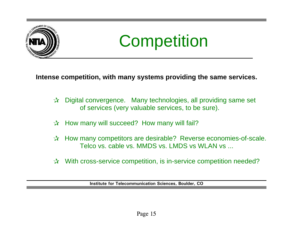![](_page_14_Picture_0.jpeg)

![](_page_14_Picture_1.jpeg)

**Intense competition, with many systems providing the same services.**

- $\vec{x}$  Digital convergence. Many technologies, all providing same set of services (very valuable services, to be sure).
- $\mathbf{\hat{x}}$  How many will succeed? How many will fail?
- $\mathcal{R}$  How many competitors are desirable? Reverse economies-of-scale. Telco vs. cable vs. MMDS vs. LMDS vs WLAN vs ...
- $\vec{r}$  With cross-service competition, is in-service competition needed?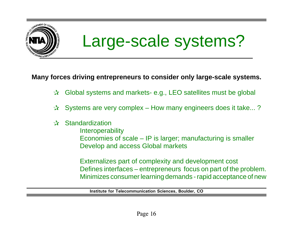![](_page_15_Picture_0.jpeg)

### Large-scale systems?

#### **Many forces driving entrepreneurs to consider only large-scale systems.**

- $\vec{x}$  Global systems and markets- e.g., LEO satellites must be global
- $\forall x$  Systems are very complex How many engineers does it take...?

#### $x$  Standardization

- **Interoperability**
- Economies of scale IP is larger; manufacturing is smaller Develop and access Global markets

Externalizes part of complexity and development cost Defines interfaces – entrepreneurs focus on part of the problem. Minimizes consumer learning demands - rapid acceptance of new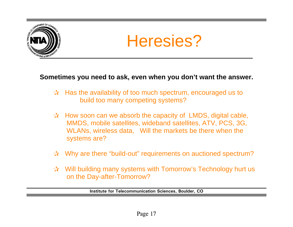![](_page_16_Picture_0.jpeg)

![](_page_16_Picture_1.jpeg)

#### **Sometimes you need to ask, even when you don't want the answer.**

- $\vec{v}$  Has the availability of too much spectrum, encouraged us to build too many competing systems?
- $\vec{x}$  How soon can we absorb the capacity of LMDS, digital cable, MMDS, mobile satellites, wideband satellites, ATV, PCS, 3G, WLANs, wireless data, Will the markets be there when the systems are?
- $\vec{x}$  Why are there "build-out" requirements on auctioned spectrum?
- $\vec{x}$  Will building many systems with Tomorrow's Technology hurt us on the Day-after-Tomorrow?